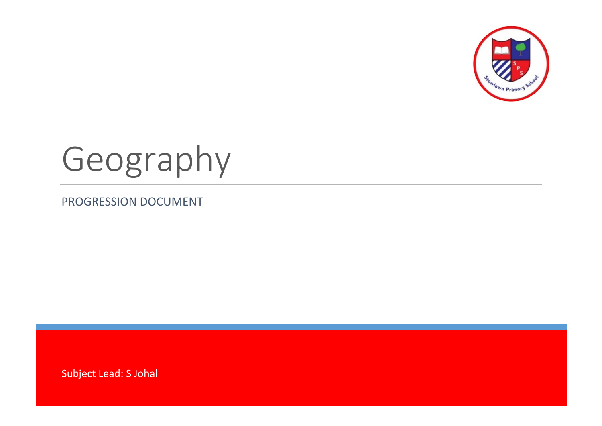

# Geography

PROGRESSION DOCUMENT

Subject Lead: S Johal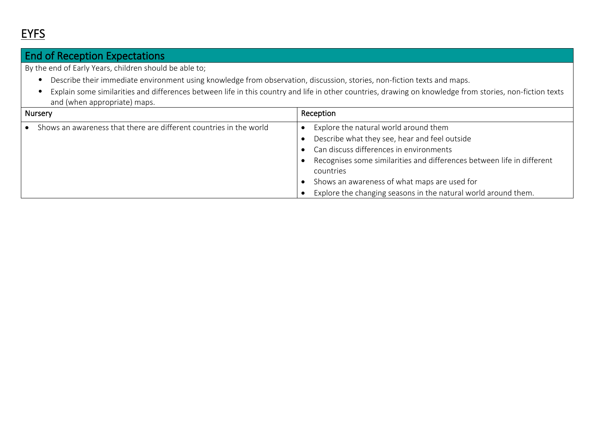### End of Reception Expectations

By the end of Early Years, children should be able to;

- Describe their immediate environment using knowledge from observation, discussion, stories, non-fiction texts and maps.
- Explain some similarities and differences between life in this country and life in other countries, drawing on knowledge from stories, non-fiction texts and (when appropriate) maps.

| <b>Nursery</b>                                                     | Reception                                                                                                                                                                                                                                                                                                                                  |
|--------------------------------------------------------------------|--------------------------------------------------------------------------------------------------------------------------------------------------------------------------------------------------------------------------------------------------------------------------------------------------------------------------------------------|
| Shows an awareness that there are different countries in the world | Explore the natural world around them<br>Describe what they see, hear and feel outside<br>Can discuss differences in environments<br>Recognises some similarities and differences between life in different<br>countries<br>Shows an awareness of what maps are used for<br>Explore the changing seasons in the natural world around them. |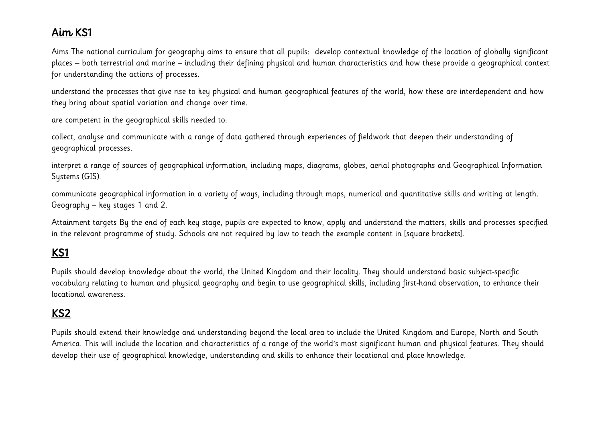### Aim KS1

Aims The national curriculum for geography aims to ensure that all pupils: develop contextual knowledge of the location of globally significant places – both terrestrial and marine – including their defining physical and human characteristics and how these provide a geographical context for understanding the actions of processes.

understand the processes that give rise to key physical and human geographical features of the world, how these are interdependent and how they bring about spatial variation and change over time.

are competent in the geographical skills needed to:

collect, analyse and communicate with a range of data gathered through experiences of fieldwork that deepen their understanding of geographical processes.

interpret a range of sources of geographical information, including maps, diagrams, globes, aerial photographs and Geographical Information Systems (GIS).

communicate geographical information in a variety of ways, including through maps, numerical and quantitative skills and writing at length. Geography – key stages 1 and 2.

Attainment targets By the end of each key stage, pupils are expected to know, apply and understand the matters, skills and processes specified in the relevant programme of study. Schools are not required by law to teach the example content in [square brackets].

## KS1

Pupils should develop knowledge about the world, the United Kingdom and their locality. They should understand basic subject-specific vocabulary relating to human and physical geography and begin to use geographical skills, including first-hand observation, to enhance their locational awareness.

#### KS2

Pupils should extend their knowledge and understanding beyond the local area to include the United Kingdom and Europe, North and South America. This will include the location and characteristics of a range of the world's most significant human and physical features. They should develop their use of geographical knowledge, understanding and skills to enhance their locational and place knowledge.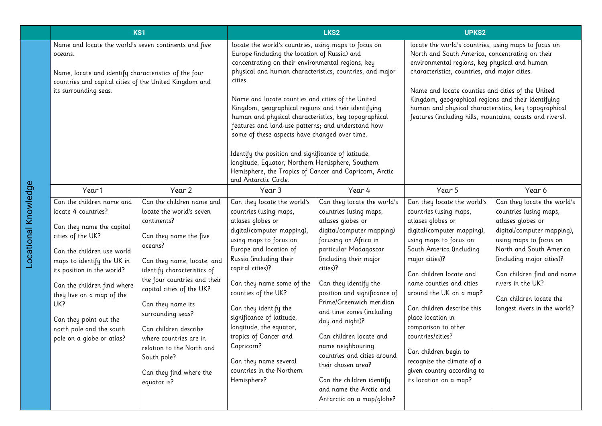| KS1                                                                                                                                                                                                          |                                                                                                                                                                                                                                                                                                                                                    | LKS2                                                                                                                                                                                                                                                                                                                                                                                                                                                                                                                                                                                                                      |                                                                                                                                                                                                                                                                                                                                                                                                                                                              | UPKS2                                                                                                                                                                                                                                                                                                                                                                                                                                                                                                                          |                                                                                                                                                                                                                                                                                                                                                                                                                                                                                  |                                                                                                                                                                                                                                                                                                          |
|--------------------------------------------------------------------------------------------------------------------------------------------------------------------------------------------------------------|----------------------------------------------------------------------------------------------------------------------------------------------------------------------------------------------------------------------------------------------------------------------------------------------------------------------------------------------------|---------------------------------------------------------------------------------------------------------------------------------------------------------------------------------------------------------------------------------------------------------------------------------------------------------------------------------------------------------------------------------------------------------------------------------------------------------------------------------------------------------------------------------------------------------------------------------------------------------------------------|--------------------------------------------------------------------------------------------------------------------------------------------------------------------------------------------------------------------------------------------------------------------------------------------------------------------------------------------------------------------------------------------------------------------------------------------------------------|--------------------------------------------------------------------------------------------------------------------------------------------------------------------------------------------------------------------------------------------------------------------------------------------------------------------------------------------------------------------------------------------------------------------------------------------------------------------------------------------------------------------------------|----------------------------------------------------------------------------------------------------------------------------------------------------------------------------------------------------------------------------------------------------------------------------------------------------------------------------------------------------------------------------------------------------------------------------------------------------------------------------------|----------------------------------------------------------------------------------------------------------------------------------------------------------------------------------------------------------------------------------------------------------------------------------------------------------|
| Name and locate the world's seven continents and five<br>oceans.<br>Name, locate and identify characteristics of the four<br>countries and capital cities of the United Kingdom and<br>its surrounding seas. |                                                                                                                                                                                                                                                                                                                                                    | locate the world's countries, using maps to focus on<br>Europe (including the location of Russia) and<br>concentrating on their environmental regions, key<br>physical and human characteristics, countries, and major<br>cities.<br>Name and locate counties and cities of the United<br>Kingdom, geographical regions and their identifying<br>human and physical characteristics, key topographical<br>features and land-use patterns; and understand how<br>some of these aspects have changed over time.<br>Identify the position and significance of latitude,<br>longitude, Equator, Northern Hemisphere, Southern |                                                                                                                                                                                                                                                                                                                                                                                                                                                              | locate the world's countries, using maps to focus on<br>North and South America, concentrating on their<br>environmental regions, key physical and human<br>characteristics, countries, and major cities.<br>Name and locate counties and cities of the United<br>Kingdom, geographical regions and their identifying<br>human and physical characteristics, key topographical<br>features (including hills, mountains, coasts and rivers).                                                                                    |                                                                                                                                                                                                                                                                                                                                                                                                                                                                                  |                                                                                                                                                                                                                                                                                                          |
|                                                                                                                                                                                                              |                                                                                                                                                                                                                                                                                                                                                    |                                                                                                                                                                                                                                                                                                                                                                                                                                                                                                                                                                                                                           | Hemisphere, the Tropics of Cancer and Capricorn, Arctic<br>and Antarctic Circle.                                                                                                                                                                                                                                                                                                                                                                             |                                                                                                                                                                                                                                                                                                                                                                                                                                                                                                                                |                                                                                                                                                                                                                                                                                                                                                                                                                                                                                  |                                                                                                                                                                                                                                                                                                          |
|                                                                                                                                                                                                              | Year 1                                                                                                                                                                                                                                                                                                                                             | Year 2                                                                                                                                                                                                                                                                                                                                                                                                                                                                                                                                                                                                                    | Year 3                                                                                                                                                                                                                                                                                                                                                                                                                                                       | Year 4                                                                                                                                                                                                                                                                                                                                                                                                                                                                                                                         | Year 5                                                                                                                                                                                                                                                                                                                                                                                                                                                                           | Year 6                                                                                                                                                                                                                                                                                                   |
|                                                                                                                                                                                                              | Can the children name and<br>locate 4 countries?<br>Can they name the capital<br>cities of the UK?<br>Can the children use world<br>maps to identify the UK in<br>its position in the world?<br>Can the children find where<br>they live on a map of the<br>UK?<br>Can they point out the<br>north pole and the south<br>pole on a globe or atlas? | Can the children name and<br>locate the world's seven<br>continents?<br>Can they name the five<br>oceans?<br>Can they name, locate, and<br>identify characteristics of<br>the four countries and their<br>capital cities of the UK?<br>Can they name its<br>surrounding seas?<br>Can children describe<br>where countries are in<br>relation to the North and<br>South pole?<br>Can they find where the<br>equator is?                                                                                                                                                                                                    | Can they locate the world's<br>countries (using maps,<br>atlases globes or<br>digital/computer mapping),<br>using maps to focus on<br>Europe and location of<br>Russia (including their<br>capital cities)?<br>Can they name some of the<br>counties of the UK?<br>Can they identify the<br>significance of latitude,<br>longitude, the equator,<br>tropics of Cancer and<br>Capricorn?<br>Can they name several<br>countries in the Northern<br>Hemisphere? | Can they locate the world's<br>countries (using maps,<br>atlases globes or<br>digital/computer mapping)<br>focusing on Africa in<br>particular Madagascar<br>(including their major<br>cities)?<br>Can they identify the<br>position and significance of<br>Prime/Greenwich meridian<br>and time zones (including<br>day and night)?<br>Can children locate and<br>name neighbouring<br>countries and cities around<br>their chosen area?<br>Can the children identify<br>and name the Arctic and<br>Antarctic on a map/globe? | Can they locate the world's<br>countries (using maps,<br>atlases globes or<br>digital/computer mapping),<br>using maps to focus on<br>South America (including<br>major cities)?<br>Can children locate and<br>name counties and cities<br>around the UK on a map?<br>Can children describe this<br>place location in<br>comparison to other<br>countries/cities?<br>Can children begin to<br>recognise the climate of a<br>given country according to<br>its location on a map? | Can they locate the world's<br>countries (using maps,<br>atlases globes or<br>digital/computer mapping),<br>using maps to focus on<br>North and South America<br>(including major cities)?<br>Can children find and name<br>rivers in the UK?<br>Can children locate the<br>longest rivers in the world? |

Locational Knowledge

Locational Knowledge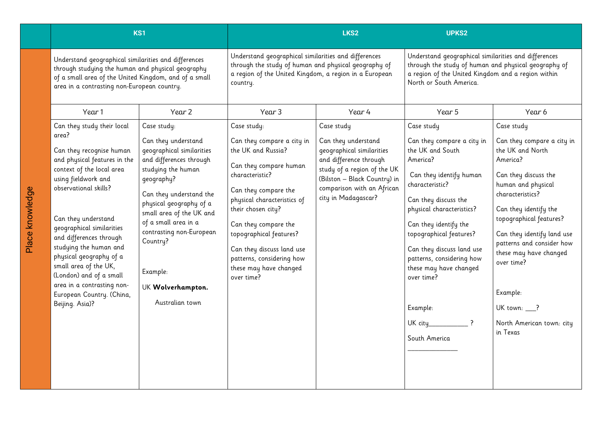|                                                                                                                                                                                                                                                                                                                                                                                                                                                    | KS1                                                                                                                                                                                                                                                                                                                                  |                                                                                                                                                                                                                                                                                                                                                | LKS <sub>2</sub>                                                                                                                                                                                             | <b>UPKS2</b>                                                                                                                                                                                                                                                                                                                                                   |                                                                                                                                                                                                                                                                                                                                                                        |
|----------------------------------------------------------------------------------------------------------------------------------------------------------------------------------------------------------------------------------------------------------------------------------------------------------------------------------------------------------------------------------------------------------------------------------------------------|--------------------------------------------------------------------------------------------------------------------------------------------------------------------------------------------------------------------------------------------------------------------------------------------------------------------------------------|------------------------------------------------------------------------------------------------------------------------------------------------------------------------------------------------------------------------------------------------------------------------------------------------------------------------------------------------|--------------------------------------------------------------------------------------------------------------------------------------------------------------------------------------------------------------|----------------------------------------------------------------------------------------------------------------------------------------------------------------------------------------------------------------------------------------------------------------------------------------------------------------------------------------------------------------|------------------------------------------------------------------------------------------------------------------------------------------------------------------------------------------------------------------------------------------------------------------------------------------------------------------------------------------------------------------------|
| Understand geographical similarities and differences<br>through studying the human and physical geography<br>of a small area of the United Kingdom, and of a small<br>area in a contrasting non-European country.                                                                                                                                                                                                                                  |                                                                                                                                                                                                                                                                                                                                      | Understand geographical similarities and differences<br>through the study of human and physical geography of<br>a region of the United Kingdom, a region in a European<br>country.                                                                                                                                                             |                                                                                                                                                                                                              | Understand geographical similarities and differences<br>through the study of human and physical geography of<br>a region of the United Kingdom and a region within<br>North or South America.                                                                                                                                                                  |                                                                                                                                                                                                                                                                                                                                                                        |
| Year 1                                                                                                                                                                                                                                                                                                                                                                                                                                             | Year 2                                                                                                                                                                                                                                                                                                                               | Year 3                                                                                                                                                                                                                                                                                                                                         | Year 4                                                                                                                                                                                                       | Year 5                                                                                                                                                                                                                                                                                                                                                         | Year 6                                                                                                                                                                                                                                                                                                                                                                 |
| Can they study their local<br>area?<br>Can they recognise human<br>and physical features in the<br>context of the local area<br>using fieldwork and<br>observational skills?<br>Can they understand<br>geographical similarities<br>and differences through<br>studying the human and<br>physical geography of a<br>small area of the UK,<br>(London) and of a small<br>area in a contrasting non-<br>European Country. (China,<br>Beijing. Asia)? | Case study:<br>Can they understand<br>geographical similarities<br>and differences through<br>studying the human<br>geography?<br>Can they understand the<br>physical geography of a<br>small area of the UK and<br>of a small area in a<br>contrasting non-European<br>Country?<br>Example:<br>UK Wolverhampton.<br>Australian town | Case study:<br>Can they compare a city in<br>the UK and Russia?<br>Can they compare human<br>characteristic?<br>Can they compare the<br>physical characteristics of<br>their chosen city?<br>Can they compare the<br>topographical features?<br>Can they discuss land use<br>patterns, considering how<br>these may have changed<br>over time? | Case study<br>Can they understand<br>geographical similarities<br>and difference through<br>study of a region of the UK<br>(Bilston - Black Country) in<br>comparison with an African<br>city in Madagascar? | Case study<br>Can they compare a city in<br>the UK and South<br>America?<br>Can they identify human<br>characteristic?<br>Can they discuss the<br>physical characteristics?<br>Can they identify the<br>topographical features?<br>Can they discuss land use<br>patterns, considering how<br>these may have changed<br>over time?<br>Example:<br>South America | Case study<br>Can they compare a city in<br>the UK and North<br>America?<br>Can they discuss the<br>human and physical<br>characteristics?<br>Can they identify the<br>topographical features?<br>Can they identify land use<br>patterns and consider how<br>these may have changed<br>over time?<br>Example:<br>UK town: __?<br>North American town: city<br>in Texas |

Place knowledge

Place knowledge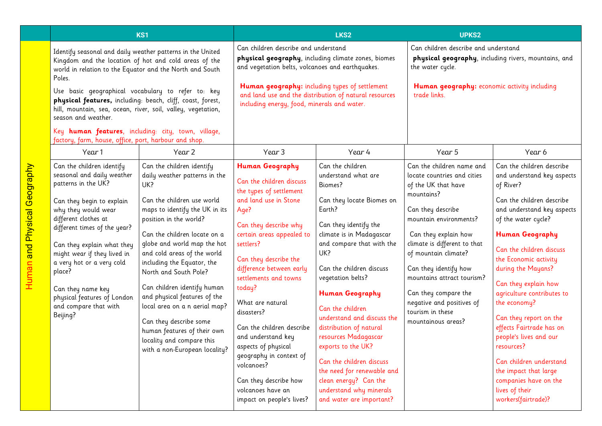| <b>KS1</b>                                                                                                                                                                                |                                                                                                                                                                                                                                                                                                                                                                                         | LKS2                                                                                                                                                                                                                                                                                                                                                                                                                                                                                                                                    |                                                                                                                                                                                                                                                                                                                                                                                                                                                  | <b>UPKS2</b>                                                                                                                                                                                                                                                                                                                                                                                                                                                                |                                                                                                                                                                                                                                                                                                                                                                                    |                                                                                                                                                                                                                                                                                                                                                                                                                                                                                                              |
|-------------------------------------------------------------------------------------------------------------------------------------------------------------------------------------------|-----------------------------------------------------------------------------------------------------------------------------------------------------------------------------------------------------------------------------------------------------------------------------------------------------------------------------------------------------------------------------------------|-----------------------------------------------------------------------------------------------------------------------------------------------------------------------------------------------------------------------------------------------------------------------------------------------------------------------------------------------------------------------------------------------------------------------------------------------------------------------------------------------------------------------------------------|--------------------------------------------------------------------------------------------------------------------------------------------------------------------------------------------------------------------------------------------------------------------------------------------------------------------------------------------------------------------------------------------------------------------------------------------------|-----------------------------------------------------------------------------------------------------------------------------------------------------------------------------------------------------------------------------------------------------------------------------------------------------------------------------------------------------------------------------------------------------------------------------------------------------------------------------|------------------------------------------------------------------------------------------------------------------------------------------------------------------------------------------------------------------------------------------------------------------------------------------------------------------------------------------------------------------------------------|--------------------------------------------------------------------------------------------------------------------------------------------------------------------------------------------------------------------------------------------------------------------------------------------------------------------------------------------------------------------------------------------------------------------------------------------------------------------------------------------------------------|
| Identify seasonal and daily weather patterns in the United<br>Kingdom and the location of hot and cold areas of the<br>world in relation to the Equator and the North and South<br>Poles. |                                                                                                                                                                                                                                                                                                                                                                                         | Can children describe and understand<br>physical geography, including climate zones, biomes<br>and vegetation belts, volcanoes and earthquakes.                                                                                                                                                                                                                                                                                                                                                                                         |                                                                                                                                                                                                                                                                                                                                                                                                                                                  | Can children describe and understand<br>physical geography, including rivers, mountains, and<br>the water cycle.                                                                                                                                                                                                                                                                                                                                                            |                                                                                                                                                                                                                                                                                                                                                                                    |                                                                                                                                                                                                                                                                                                                                                                                                                                                                                                              |
|                                                                                                                                                                                           | Use basic geographical vocabulary to refer to: key<br>physical features, including: beach, cliff, coast, forest,<br>hill, mountain, sea, ocean, river, soil, valley, vegetation,<br>season and weather.                                                                                                                                                                                 |                                                                                                                                                                                                                                                                                                                                                                                                                                                                                                                                         | Human geography: including types of settlement<br>and land use and the distribution of natural resources<br>including energy, food, minerals and water.                                                                                                                                                                                                                                                                                          |                                                                                                                                                                                                                                                                                                                                                                                                                                                                             | Human geography: economic activity including<br>trade links.                                                                                                                                                                                                                                                                                                                       |                                                                                                                                                                                                                                                                                                                                                                                                                                                                                                              |
|                                                                                                                                                                                           | Key human features, including: city, town, village,<br>factory, farm, house, office, port, harbour and shop.                                                                                                                                                                                                                                                                            |                                                                                                                                                                                                                                                                                                                                                                                                                                                                                                                                         |                                                                                                                                                                                                                                                                                                                                                                                                                                                  |                                                                                                                                                                                                                                                                                                                                                                                                                                                                             |                                                                                                                                                                                                                                                                                                                                                                                    |                                                                                                                                                                                                                                                                                                                                                                                                                                                                                                              |
|                                                                                                                                                                                           | Year 1                                                                                                                                                                                                                                                                                                                                                                                  | Year 2                                                                                                                                                                                                                                                                                                                                                                                                                                                                                                                                  | Year <sub>3</sub>                                                                                                                                                                                                                                                                                                                                                                                                                                | Year 4                                                                                                                                                                                                                                                                                                                                                                                                                                                                      | Year 5                                                                                                                                                                                                                                                                                                                                                                             | Year 6                                                                                                                                                                                                                                                                                                                                                                                                                                                                                                       |
|                                                                                                                                                                                           | Can the children identify<br>seasonal and daily weather<br>patterns in the UK?<br>Can they begin to explain<br>why they would wear<br>different clothes at<br>different times of the year?<br>Can they explain what they<br>might wear if they lived in<br>a very hot or a very cold<br>place?<br>Can they name key<br>physical features of London<br>and compare that with<br>Beijing? | Can the children identify<br>daily weather patterns in the<br>UK?<br>Can the children use world<br>maps to identify the UK in its<br>position in the world?<br>Can the children locate on a<br>globe and world map the hot<br>and cold areas of the world<br>including the Equator, the<br>North and South Pole?<br>Can children identify human<br>and physical features of the<br>local area on a n aerial map?<br>Can they describe some<br>human features of their own<br>locality and compare this<br>with a non-European locality? | Human Geography<br>Can the children discuss<br>the types of settlement<br>and land use in Stone<br>Age?<br>Can they describe why<br>certain areas appealed to<br>settlers?<br>Can they describe the<br>difference between early<br>settlements and towns<br>today?<br>What are natural<br>disasters?<br>Can the children describe<br>and understand key<br>aspects of physical<br>geography in context of<br>volcanoes?<br>Can they describe how | Can the children<br>understand what are<br>Biomes?<br>Can they locate Biomes on<br>Earth?<br>Can they identify the<br>climate is in Madagascar<br>and compare that with the<br>UK?<br>Can the children discuss<br>vegetation belts?<br><b>Human Geography</b><br>Can the children<br>understand and discuss the<br>distribution of natural<br>resources Madagascar<br>exports to the UK?<br>Can the children discuss<br>the need for renewable and<br>clean energy? Can the | Can the children name and<br>locate countries and cities<br>of the UK that have<br>mountains?<br>Can they describe<br>mountain environments?<br>Can they explain how<br>climate is different to that<br>of mountain climate?<br>Can they identify how<br>mountains attract tourism?<br>Can they compare the<br>negative and positives of<br>tourism in these<br>mountainous areas? | Can the children describe<br>and understand key aspects<br>of River?<br>Can the children describe<br>and understand key aspects<br>of the water cycle?<br><b>Human Geography</b><br>Can the children discuss<br>the Economic activity<br>during the Mayans?<br>Can they explain how<br>agriculture contributes to<br>the economy?<br>Can they report on the<br>effects Fairtrade has on<br>people's lives and our<br>resources?<br>Can children understand<br>the impact that large<br>companies have on the |
|                                                                                                                                                                                           |                                                                                                                                                                                                                                                                                                                                                                                         |                                                                                                                                                                                                                                                                                                                                                                                                                                                                                                                                         | volcanoes have an<br>impact on people's lives?                                                                                                                                                                                                                                                                                                                                                                                                   | understand why minerals<br>and water are important?                                                                                                                                                                                                                                                                                                                                                                                                                         |                                                                                                                                                                                                                                                                                                                                                                                    | lives of their<br>workers(fairtrade)?                                                                                                                                                                                                                                                                                                                                                                                                                                                                        |

Human and Physical Geography

**Human and Physical Geography**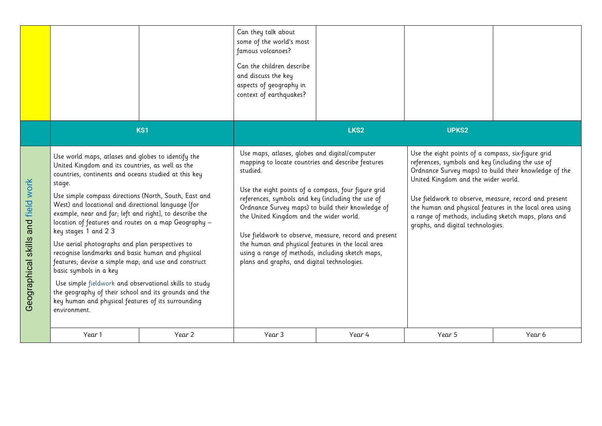|                                    |                                                                                                                                                                                                                                                                                                                                                                                                                                                                                                                                                                                                                                                                                                                                                                                                                      |                 | Can they talk about<br>some of the world's most<br>famous volcanoes?<br>Can the children describe<br>and discuss the key<br>aspects of geography in<br>context of earthquakes?                                                                                                                                                                                                                                                                                                                                                               |                  |                                                                                                                                                                                                                                                                                                                                                                                                                          |        |
|------------------------------------|----------------------------------------------------------------------------------------------------------------------------------------------------------------------------------------------------------------------------------------------------------------------------------------------------------------------------------------------------------------------------------------------------------------------------------------------------------------------------------------------------------------------------------------------------------------------------------------------------------------------------------------------------------------------------------------------------------------------------------------------------------------------------------------------------------------------|-----------------|----------------------------------------------------------------------------------------------------------------------------------------------------------------------------------------------------------------------------------------------------------------------------------------------------------------------------------------------------------------------------------------------------------------------------------------------------------------------------------------------------------------------------------------------|------------------|--------------------------------------------------------------------------------------------------------------------------------------------------------------------------------------------------------------------------------------------------------------------------------------------------------------------------------------------------------------------------------------------------------------------------|--------|
|                                    |                                                                                                                                                                                                                                                                                                                                                                                                                                                                                                                                                                                                                                                                                                                                                                                                                      | KS <sub>1</sub> |                                                                                                                                                                                                                                                                                                                                                                                                                                                                                                                                              | LKS <sub>2</sub> | <b>UPKS2</b>                                                                                                                                                                                                                                                                                                                                                                                                             |        |
| Geographical skills and field work | Use world maps, atlases and globes to identify the<br>United Kingdom and its countries, as well as the<br>countries, continents and oceans studied at this key<br>stage.<br>Use simple compass directions (North, South, East and<br>West) and locational and directional language [for<br>example, near and far; left and right], to describe the<br>location of features and routes on a map Geography -<br>key stages 1 and 2 3<br>Use aerial photographs and plan perspectives to<br>recognise landmarks and basic human and physical<br>features; devise a simple map; and use and construct<br>basic symbols in a key<br>Use simple fieldwork and observational skills to study<br>the geography of their school and its grounds and the<br>key human and physical features of its surrounding<br>environment. |                 | Use maps, atlases, globes and digital/computer<br>mapping to locate countries and describe features<br>studied.<br>Use the eight points of a compass, four figure grid<br>references, symbols and key (including the use of<br>Ordnance Survey maps) to build their knowledge of<br>the United Kingdom and the wider world.<br>Use fieldwork to observe, measure, record and present<br>the human and physical features in the local area<br>using a range of methods, including sketch maps,<br>plans and graphs, and digital technologies. |                  | Use the eight points of a compass, six-figure grid<br>references, symbols and key (including the use of<br>Ordnance Survey maps) to build their knowledge of the<br>United Kingdom and the wider world.<br>Use fieldwork to observe, measure, record and present<br>the human and physical features in the local area using<br>a range of methods, including sketch maps, plans and<br>graphs, and digital technologies. |        |
|                                    | Year 1                                                                                                                                                                                                                                                                                                                                                                                                                                                                                                                                                                                                                                                                                                                                                                                                               | Year 2          | Year 3                                                                                                                                                                                                                                                                                                                                                                                                                                                                                                                                       | Year 4           | Year 5                                                                                                                                                                                                                                                                                                                                                                                                                   | Year 6 |